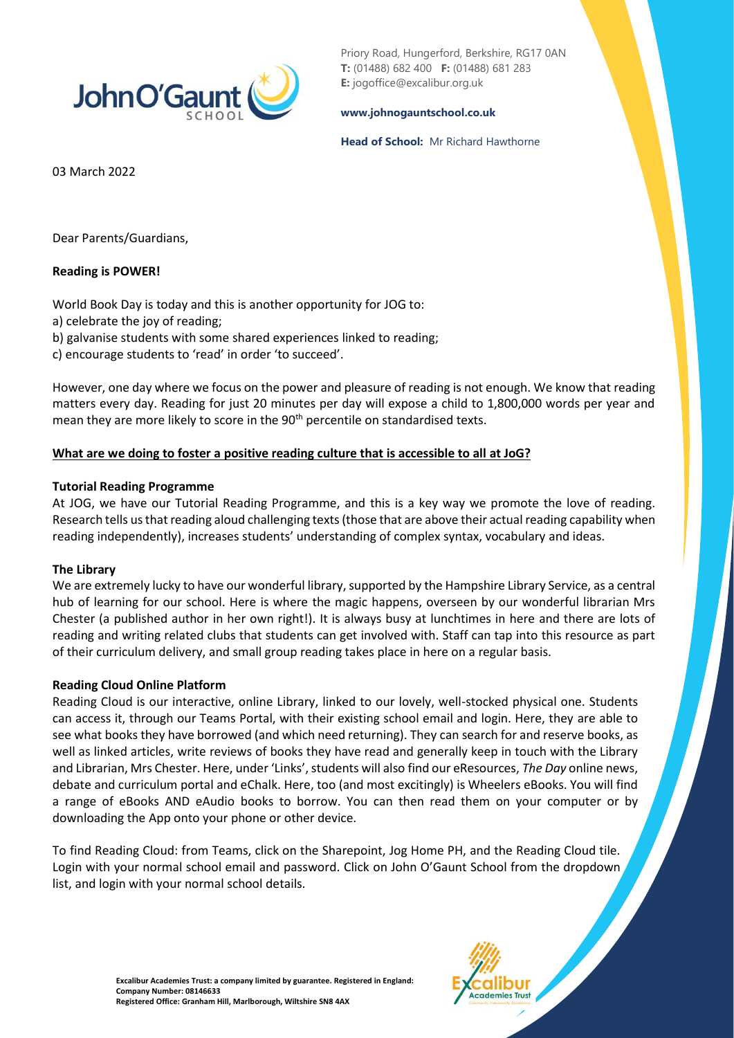

Priory Road, Hungerford, Berkshire, RG17 0AN **T:** (01488) 682 400 **F:** (01488) 681 283 **E:** jogoffice@excalibur.org.uk

#### **[www.johnogauntschool.co.uk](http://www.johnogauntschool.co.uk/)**

#### **Head of School:** Mr Richard Hawthorne

03 March 2022

Dear Parents/Guardians,

## **Reading is POWER!**

World Book Day is today and this is another opportunity for JOG to:

a) celebrate the joy of reading;

b) galvanise students with some shared experiences linked to reading;

c) encourage students to 'read' in order 'to succeed'.

However, one day where we focus on the power and pleasure of reading is not enough. We know that reading matters every day. Reading for just 20 minutes per day will expose a child to 1,800,000 words per year and mean they are more likely to score in the 90<sup>th</sup> percentile on standardised texts.

## **What are we doing to foster a positive reading culture that is accessible to all at JoG?**

### **Tutorial Reading Programme**

At JOG, we have our Tutorial Reading Programme, and this is a key way we promote the love of reading. Research tells us that reading aloud challenging texts (those that are above their actual reading capability when reading independently), increases students' understanding of complex syntax, vocabulary and ideas.

### **The Library**

We are extremely lucky to have our wonderful library, supported by the Hampshire Library Service, as a central hub of learning for our school. Here is where the magic happens, overseen by our wonderful librarian Mrs Chester (a published author in her own right!). It is always busy at lunchtimes in here and there are lots of reading and writing related clubs that students can get involved with. Staff can tap into this resource as part of their curriculum delivery, and small group reading takes place in here on a regular basis.

### **Reading Cloud Online Platform**

Reading Cloud is our interactive, online Library, linked to our lovely, well-stocked physical one. Students can access it, through our Teams Portal, with their existing school email and login. Here, they are able to see what books they have borrowed (and which need returning). They can search for and reserve books, as well as linked articles, write reviews of books they have read and generally keep in touch with the Library and Librarian, Mrs Chester. Here, under 'Links', students will also find our eResources, *The Day* online news, debate and curriculum portal and eChalk. Here, too (and most excitingly) is Wheelers eBooks. You will find a range of eBooks AND eAudio books to borrow. You can then read them on your computer or by downloading the App onto your phone or other device.

To find Reading Cloud: from Teams, click on the Sharepoint, Jog Home PH, and the Reading Cloud tile. Login with your normal school email and password. Click on John O'Gaunt School from the dropdown list, and login with your normal school details.

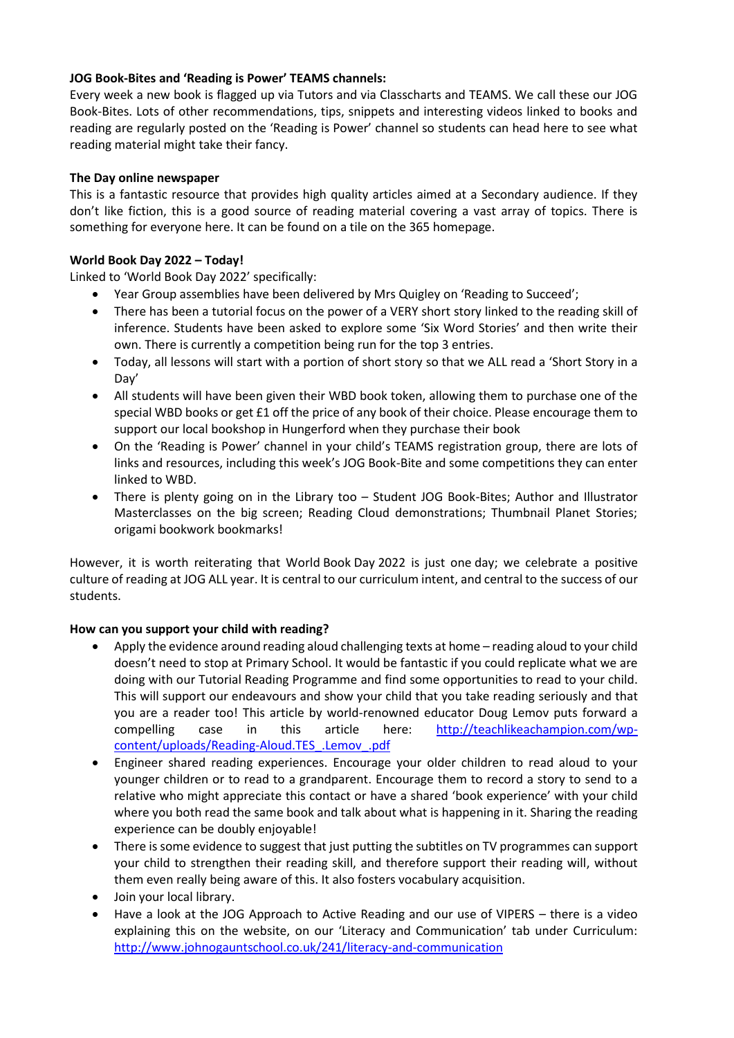## **JOG Book-Bites and 'Reading is Power' TEAMS channels:**

Every week a new book is flagged up via Tutors and via Classcharts and TEAMS. We call these our JOG Book-Bites. Lots of other recommendations, tips, snippets and interesting videos linked to books and reading are regularly posted on the 'Reading is Power' channel so students can head here to see what reading material might take their fancy.

### **The Day online newspaper**

This is a fantastic resource that provides high quality articles aimed at a Secondary audience. If they don't like fiction, this is a good source of reading material covering a vast array of topics. There is something for everyone here. It can be found on a tile on the 365 homepage.

## **World Book Day 2022 – Today!**

Linked to 'World Book Day 2022' specifically:

- Year Group assemblies have been delivered by Mrs Quigley on 'Reading to Succeed';
- There has been a tutorial focus on the power of a VERY short story linked to the reading skill of inference. Students have been asked to explore some 'Six Word Stories' and then write their own. There is currently a competition being run for the top 3 entries.
- Today, all lessons will start with a portion of short story so that we ALL read a 'Short Story in a Day'
- All students will have been given their WBD book token, allowing them to purchase one of the special WBD books or get £1 off the price of any book of their choice. Please encourage them to support our local bookshop in Hungerford when they purchase their book
- On the 'Reading is Power' channel in your child's TEAMS registration group, there are lots of links and resources, including this week's JOG Book-Bite and some competitions they can enter linked to WBD.
- There is plenty going on in the Library too Student JOG Book-Bites; Author and Illustrator Masterclasses on the big screen; Reading Cloud demonstrations; Thumbnail Planet Stories; origami bookwork bookmarks!

However, it is worth reiterating that World Book Day 2022 is just one day; we celebrate a positive culture of reading at JOG ALL year. It is central to our curriculum intent, and central to the success of our students.

# **How can you support your child with reading?**

- Apply the evidence around reading aloud challenging texts at home reading aloud to your child doesn't need to stop at Primary School. It would be fantastic if you could replicate what we are doing with our Tutorial Reading Programme and find some opportunities to read to your child. This will support our endeavours and show your child that you take reading seriously and that you are a reader too! This article by world-renowned educator Doug Lemov puts forward a compelling case in this article here: [http://teachlikeachampion.com/wp](http://teachlikeachampion.com/wp-content/uploads/Reading-Aloud.TES_.Lemov_.pdf)[content/uploads/Reading-Aloud.TES\\_.Lemov\\_.pdf](http://teachlikeachampion.com/wp-content/uploads/Reading-Aloud.TES_.Lemov_.pdf)
- Engineer shared reading experiences. Encourage your older children to read aloud to your younger children or to read to a grandparent. Encourage them to record a story to send to a relative who might appreciate this contact or have a shared 'book experience' with your child where you both read the same book and talk about what is happening in it. Sharing the reading experience can be doubly enjoyable!
- There is some evidence to suggest that just putting the subtitles on TV programmes can support your child to strengthen their reading skill, and therefore support their reading will, without them even really being aware of this. It also fosters vocabulary acquisition.
- Join your local library.
- Have a look at the JOG Approach to Active Reading and our use of VIPERS there is a video explaining this on the website, on our 'Literacy and Communication' tab under Curriculum: <http://www.johnogauntschool.co.uk/241/literacy-and-communication>